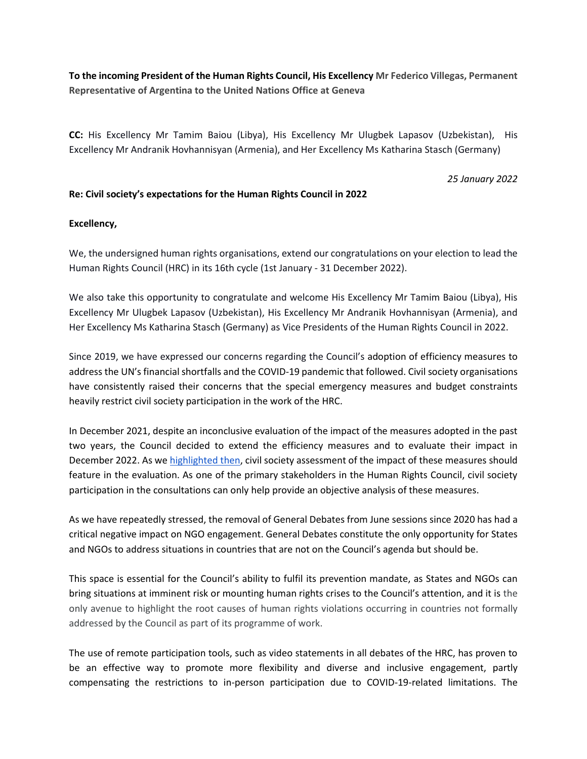**To the incoming President of the Human Rights Council, His Excellency Mr Federico Villegas, Permanent Representative of Argentina to the United Nations Office at Geneva**

**CC:** His Excellency Mr Tamim Baiou (Libya), His Excellency Mr Ulugbek Lapasov (Uzbekistan), His Excellency Mr Andranik Hovhannisyan (Armenia), and Her Excellency Ms Katharina Stasch (Germany)

*25 January 2022*

## **Re: Civil society's expectations for the Human Rights Council in 2022**

## **Excellency,**

We, the undersigned human rights organisations, extend our congratulations on your election to lead the Human Rights Council (HRC) in its 16th cycle (1st January - 31 December 2022).

We also take this opportunity to congratulate and welcome His Excellency Mr Tamim Baiou (Libya), His Excellency Mr Ulugbek Lapasov (Uzbekistan), His Excellency Mr Andranik Hovhannisyan (Armenia), and Her Excellency Ms Katharina Stasch (Germany) as Vice Presidents of the Human Rights Council in 2022.

Since 2019, we have expressed our concerns regarding the Council's adoption of efficiency measures to address the UN's financial shortfalls and the COVID-19 pandemic that followed. Civil society organisations have consistently raised their concerns that the special emergency measures and budget constraints heavily restrict civil society participation in the work of the HRC.

In December 2021, despite an inconclusive evaluation of the impact of the measures adopted in the past two years, the Council decided to extend the efficiency measures and to evaluate their impact in December 2022. As we [highlighted then,](https://ishr.ch/latest-updates/civil-society-participation-at-the-un-human-rights-council-cannot-be-an-afterthought/) civil society assessment of the impact of these measures should feature in the evaluation. As one of the primary stakeholders in the Human Rights Council, civil society participation in the consultations can only help provide an objective analysis of these measures.

As we have repeatedly stressed, the removal of General Debates from June sessions since 2020 has had a critical negative impact on NGO engagement. General Debates constitute the only opportunity for States and NGOs to address situations in countries that are not on the Council's agenda but should be.

This space is essential for the Council's ability to fulfil its prevention mandate, as States and NGOs can bring situations at imminent risk or mounting human rights crises to the Council's attention, and it is the only avenue to highlight the root causes of human rights violations occurring in countries not formally addressed by the Council as part of its programme of work.

The use of remote participation tools, such as video statements in all debates of the HRC, has proven to be an effective way to promote more flexibility and diverse and inclusive engagement, partly compensating the restrictions to in-person participation due to COVID-19-related limitations. The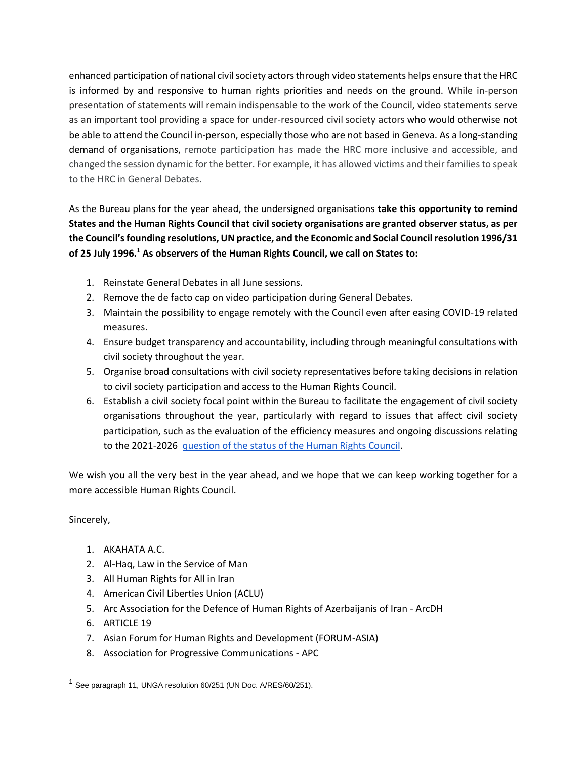enhanced participation of national civil society actors through video statements helps ensure that the HRC is informed by and responsive to human rights priorities and needs on the ground. While in-person presentation of statements will remain indispensable to the work of the Council, video statements serve as an important tool providing a space for under-resourced civil society actors who would otherwise not be able to attend the Council in-person, especially those who are not based in Geneva. As a long-standing demand of organisations, remote participation has made the HRC more inclusive and accessible, and changed the session dynamic for the better. For example, it has allowed victims and their families to speak to the HRC in General Debates.

As the Bureau plans for the year ahead, the undersigned organisations **take this opportunity to remind States and the Human Rights Council that civil society organisations are granted observer status, as per the Council's founding resolutions, UN practice, and the Economic and Social Council resolution 1996/31 of 25 July 1996.<sup>1</sup> As observers of the Human Rights Council, we call on States to:**

- 1. Reinstate General Debates in all June sessions.
- 2. Remove the de facto cap on video participation during General Debates.
- 3. Maintain the possibility to engage remotely with the Council even after easing COVID-19 related measures.
- 4. Ensure budget transparency and accountability, including through meaningful consultations with civil society throughout the year.
- 5. Organise broad consultations with civil society representatives before taking decisions in relation to civil society participation and access to the Human Rights Council.
- 6. Establish a civil society focal point within the Bureau to facilitate the engagement of civil society organisations throughout the year, particularly with regard to issues that affect civil society participation, such as the evaluation of the efficiency measures and ongoing discussions relating to the 2021-2026 [question of the status of the Human Rights Council.](https://ishr.ch/latest-updates/hrc-general-assemblys-consideration-question-status-hrc/)

We wish you all the very best in the year ahead, and we hope that we can keep working together for a more accessible Human Rights Council.

## Sincerely,

- 1. AKAHATA A.C.
- 2. Al-Haq, Law in the Service of Man
- 3. All Human Rights for All in Iran
- 4. American Civil Liberties Union (ACLU)
- 5. Arc Association for the Defence of Human Rights of Azerbaijanis of Iran ArcDH
- 6. ARTICLE 19
- 7. Asian Forum for Human Rights and Development (FORUM-ASIA)
- 8. Association for Progressive Communications APC

<sup>&</sup>lt;sup>1</sup> See paragraph 11, UNGA resolution 60/251 (UN Doc. A/RES/60/251).